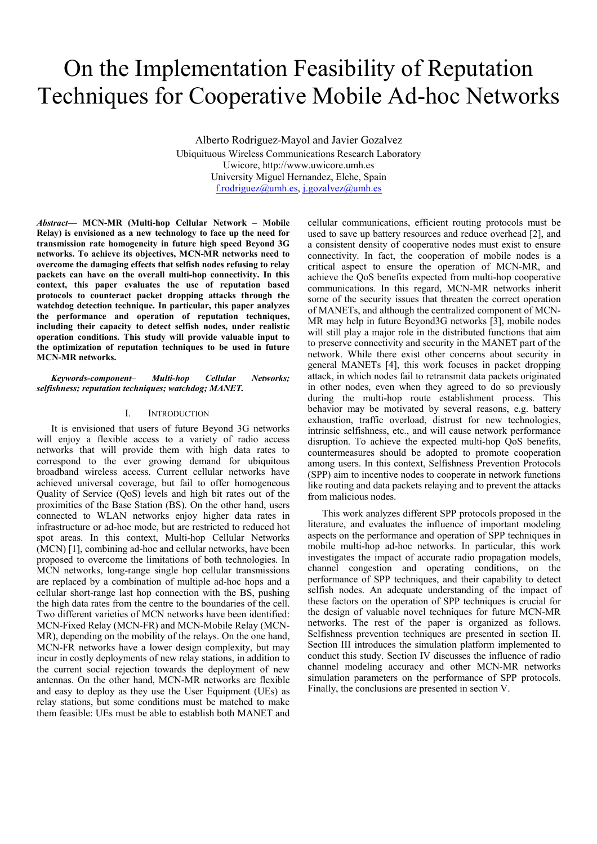# On the Implementation Feasibility of Reputation Techniques for Cooperative Mobile Ad-hoc Networks

Alberto Rodriguez-Mayol and Javier Gozalvez Ubiquituous Wireless Communications Research Laboratory Uwicore, http://www.uwicore.umh.es University Miguel Hernandez, Elche, Spain f.rodriguez@umh.es, j.gozalvez@umh.es

Abstract— MCN-MR (Multi-hop Cellular Network – Mobile Relay) is envisioned as a new technology to face up the need for transmission rate homogeneity in future high speed Beyond 3G networks. To achieve its objectives, MCN-MR networks need to overcome the damaging effects that selfish nodes refusing to relay packets can have on the overall multi-hop connectivity. In this context, this paper evaluates the use of reputation based protocols to counteract packet dropping attacks through the watchdog detection technique. In particular, this paper analyzes the performance and operation of reputation techniques, including their capacity to detect selfish nodes, under realistic operation conditions. This study will provide valuable input to the optimization of reputation techniques to be used in future MCN-MR networks.

## Keywords-component– Multi-hop Cellular Networks; selfishness; reputation techniques; watchdog; MANET.

# I. INTRODUCTION

It is envisioned that users of future Beyond 3G networks will enjoy a flexible access to a variety of radio access networks that will provide them with high data rates to correspond to the ever growing demand for ubiquitous broadband wireless access. Current cellular networks have achieved universal coverage, but fail to offer homogeneous Quality of Service (QoS) levels and high bit rates out of the proximities of the Base Station (BS). On the other hand, users connected to WLAN networks enjoy higher data rates in infrastructure or ad-hoc mode, but are restricted to reduced hot spot areas. In this context, Multi-hop Cellular Networks (MCN) [1], combining ad-hoc and cellular networks, have been proposed to overcome the limitations of both technologies. In MCN networks, long-range single hop cellular transmissions are replaced by a combination of multiple ad-hoc hops and a cellular short-range last hop connection with the BS, pushing the high data rates from the centre to the boundaries of the cell. Two different varieties of MCN networks have been identified: MCN-Fixed Relay (MCN-FR) and MCN-Mobile Relay (MCN-MR), depending on the mobility of the relays. On the one hand, MCN-FR networks have a lower design complexity, but may incur in costly deployments of new relay stations, in addition to the current social rejection towards the deployment of new antennas. On the other hand, MCN-MR networks are flexible and easy to deploy as they use the User Equipment (UEs) as relay stations, but some conditions must be matched to make them feasible: UEs must be able to establish both MANET and cellular communications, efficient routing protocols must be used to save up battery resources and reduce overhead [2], and a consistent density of cooperative nodes must exist to ensure connectivity. In fact, the cooperation of mobile nodes is a critical aspect to ensure the operation of MCN-MR, and achieve the QoS benefits expected from multi-hop cooperative communications. In this regard, MCN-MR networks inherit some of the security issues that threaten the correct operation of MANETs, and although the centralized component of MCN-MR may help in future Beyond3G networks [3], mobile nodes will still play a major role in the distributed functions that aim to preserve connectivity and security in the MANET part of the network. While there exist other concerns about security in general MANETs [4], this work focuses in packet dropping attack, in which nodes fail to retransmit data packets originated in other nodes, even when they agreed to do so previously during the multi-hop route establishment process. This behavior may be motivated by several reasons, e.g. battery exhaustion, traffic overload, distrust for new technologies, intrinsic selfishness, etc., and will cause network performance disruption. To achieve the expected multi-hop QoS benefits, countermeasures should be adopted to promote cooperation among users. In this context, Selfishness Prevention Protocols (SPP) aim to incentive nodes to cooperate in network functions like routing and data packets relaying and to prevent the attacks from malicious nodes.

This work analyzes different SPP protocols proposed in the literature, and evaluates the influence of important modeling aspects on the performance and operation of SPP techniques in mobile multi-hop ad-hoc networks. In particular, this work investigates the impact of accurate radio propagation models, channel congestion and operating conditions, on the performance of SPP techniques, and their capability to detect selfish nodes. An adequate understanding of the impact of these factors on the operation of SPP techniques is crucial for the design of valuable novel techniques for future MCN-MR networks. The rest of the paper is organized as follows. Selfishness prevention techniques are presented in section II. Section III introduces the simulation platform implemented to conduct this study. Section IV discusses the influence of radio channel modeling accuracy and other MCN-MR networks simulation parameters on the performance of SPP protocols. Finally, the conclusions are presented in section V.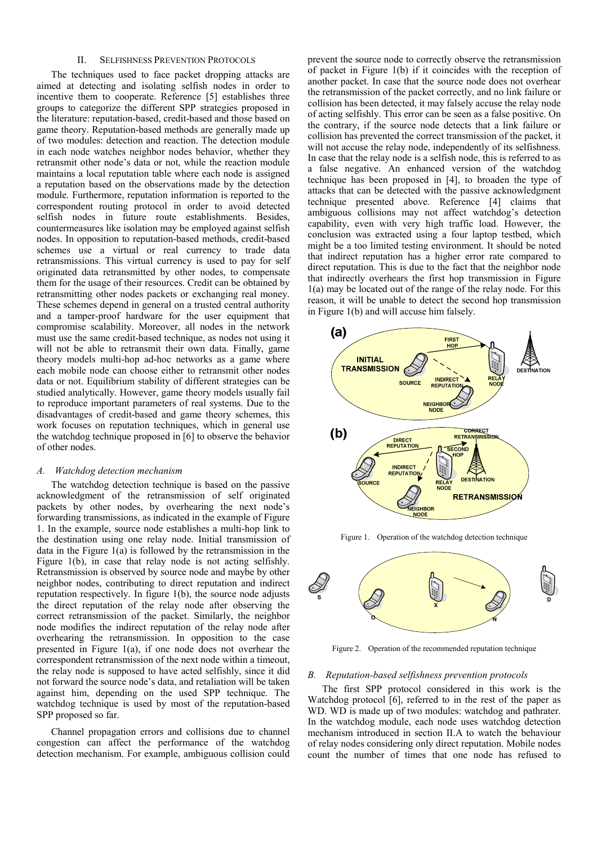# II. SELFISHNESS PREVENTION PROTOCOLS

The techniques used to face packet dropping attacks are aimed at detecting and isolating selfish nodes in order to incentive them to cooperate. Reference [5] establishes three groups to categorize the different SPP strategies proposed in the literature: reputation-based, credit-based and those based on game theory. Reputation-based methods are generally made up of two modules: detection and reaction. The detection module in each node watches neighbor nodes behavior, whether they retransmit other node's data or not, while the reaction module maintains a local reputation table where each node is assigned a reputation based on the observations made by the detection module. Furthermore, reputation information is reported to the correspondent routing protocol in order to avoid detected selfish nodes in future route establishments. Besides, countermeasures like isolation may be employed against selfish nodes. In opposition to reputation-based methods, credit-based schemes use a virtual or real currency to trade data retransmissions. This virtual currency is used to pay for self originated data retransmitted by other nodes, to compensate them for the usage of their resources. Credit can be obtained by retransmitting other nodes packets or exchanging real money. These schemes depend in general on a trusted central authority and a tamper-proof hardware for the user equipment that compromise scalability. Moreover, all nodes in the network must use the same credit-based technique, as nodes not using it will not be able to retransmit their own data. Finally, game theory models multi-hop ad-hoc networks as a game where each mobile node can choose either to retransmit other nodes data or not. Equilibrium stability of different strategies can be studied analytically. However, game theory models usually fail to reproduce important parameters of real systems. Due to the disadvantages of credit-based and game theory schemes, this work focuses on reputation techniques, which in general use the watchdog technique proposed in [6] to observe the behavior of other nodes.

# A. Watchdog detection mechanism

The watchdog detection technique is based on the passive acknowledgment of the retransmission of self originated packets by other nodes, by overhearing the next node's forwarding transmissions, as indicated in the example of Figure 1. In the example, source node establishes a multi-hop link to the destination using one relay node. Initial transmission of data in the Figure 1(a) is followed by the retransmission in the Figure 1(b), in case that relay node is not acting selfishly. Retransmission is observed by source node and maybe by other neighbor nodes, contributing to direct reputation and indirect reputation respectively. In figure 1(b), the source node adjusts the direct reputation of the relay node after observing the correct retransmission of the packet. Similarly, the neighbor node modifies the indirect reputation of the relay node after overhearing the retransmission. In opposition to the case presented in Figure 1(a), if one node does not overhear the correspondent retransmission of the next node within a timeout, the relay node is supposed to have acted selfishly, since it did not forward the source node's data, and retaliation will be taken against him, depending on the used SPP technique. The watchdog technique is used by most of the reputation-based SPP proposed so far.

Channel propagation errors and collisions due to channel congestion can affect the performance of the watchdog detection mechanism. For example, ambiguous collision could prevent the source node to correctly observe the retransmission of packet in Figure 1(b) if it coincides with the reception of another packet. In case that the source node does not overhear the retransmission of the packet correctly, and no link failure or collision has been detected, it may falsely accuse the relay node of acting selfishly. This error can be seen as a false positive. On the contrary, if the source node detects that a link failure or collision has prevented the correct transmission of the packet, it will not accuse the relay node, independently of its selfishness. In case that the relay node is a selfish node, this is referred to as a false negative. An enhanced version of the watchdog technique has been proposed in [4], to broaden the type of attacks that can be detected with the passive acknowledgment technique presented above. Reference [4] claims that ambiguous collisions may not affect watchdog's detection capability, even with very high traffic load. However, the conclusion was extracted using a four laptop testbed, which might be a too limited testing environment. It should be noted that indirect reputation has a higher error rate compared to direct reputation. This is due to the fact that the neighbor node that indirectly overhears the first hop transmission in Figure 1(a) may be located out of the range of the relay node. For this reason, it will be unable to detect the second hop transmission in Figure 1(b) and will accuse him falsely.



Figure 1. Operation of the watchdog detection technique



Figure 2. Operation of the recommended reputation technique

## B. Reputation-based selfishness prevention protocols

The first SPP protocol considered in this work is the Watchdog protocol [6], referred to in the rest of the paper as WD. WD is made up of two modules: watchdog and pathrater. In the watchdog module, each node uses watchdog detection mechanism introduced in section II.A to watch the behaviour of relay nodes considering only direct reputation. Mobile nodes count the number of times that one node has refused to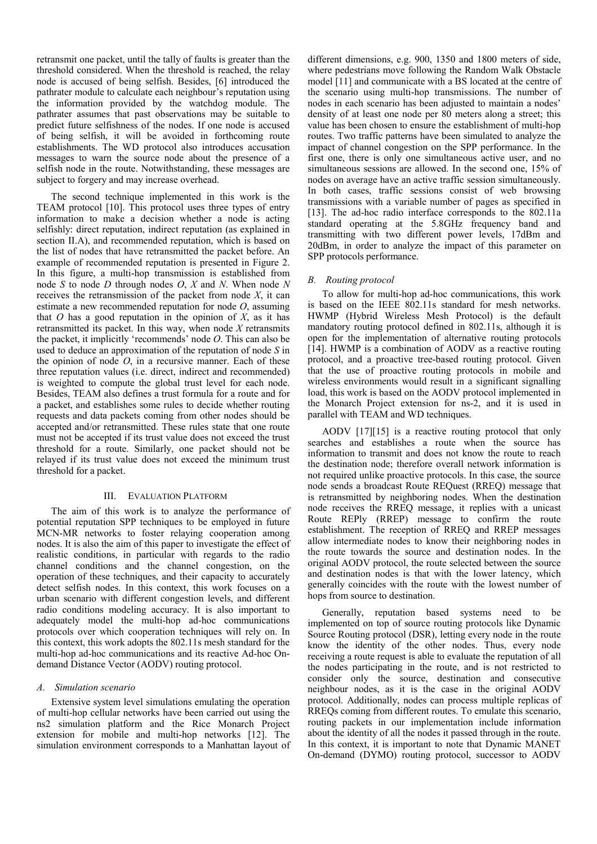retransmit one packet, until the tally of faults is greater than the threshold considered. When the threshold is reached, the relay node is accused of being selfish. Besides, [6] introduced the pathrater module to calculate each neighbour's reputation using the information provided by the watchdog module. The pathrater assumes that past observations may be suitable to predict future selfishness of the nodes. If one node is accused of being selfish, it will be avoided in forthcoming route establishments. The WD protocol also introduces accusation messages to warn the source node about the presence of a selfish node in the route. Notwithstanding, these messages are subject to forgery and may increase overhead.

The second technique implemented in this work is the TEAM protocol [10]. This protocol uses three types of entry information to make a decision whether a node is acting selfishly: direct reputation, indirect reputation (as explained in section II.A), and recommended reputation, which is based on the list of nodes that have retransmitted the packet before. An example of recommended reputation is presented in Figure 2. In this figure, a multi-hop transmission is established from node S to node D through nodes  $O, X$  and N. When node N receives the retransmission of the packet from node  $X$ , it can estimate a new recommended reputation for node O, assuming that O has a good reputation in the opinion of  $X$ , as it has retransmitted its packet. In this way, when node  $X$  retransmits the packet, it implicitly 'recommends' node O. This can also be used to deduce an approximation of the reputation of node S in the opinion of node  $O$ , in a recursive manner. Each of these three reputation values (i.e. direct, indirect and recommended) is weighted to compute the global trust level for each node. Besides, TEAM also defines a trust formula for a route and for a packet, and establishes some rules to decide whether routing requests and data packets coming from other nodes should be accepted and/or retransmitted. These rules state that one route must not be accepted if its trust value does not exceed the trust threshold for a route. Similarly, one packet should not be relayed if its trust value does not exceed the minimum trust threshold for a packet.

## III. EVALUATION PLATFORM

The aim of this work is to analyze the performance of potential reputation SPP techniques to be employed in future MCN-MR networks to foster relaying cooperation among nodes. It is also the aim of this paper to investigate the effect of realistic conditions, in particular with regards to the radio channel conditions and the channel congestion, on the operation of these techniques, and their capacity to accurately detect selfish nodes. In this context, this work focuses on a urban scenario with different congestion levels, and different radio conditions modeling accuracy. It is also important to adequately model the multi-hop ad-hoc communications protocols over which cooperation techniques will rely on. In this context, this work adopts the 802.11s mesh standard for the multi-hop ad-hoc communications and its reactive Ad-hoc Ondemand Distance Vector (AODV) routing protocol.

# A. Simulation scenario

Extensive system level simulations emulating the operation of multi-hop cellular networks have been carried out using the ns2 simulation platform and the Rice Monarch Project extension for mobile and multi-hop networks [12]. The simulation environment corresponds to a Manhattan layout of different dimensions, e.g. 900, 1350 and 1800 meters of side, where pedestrians move following the Random Walk Obstacle model [11] and communicate with a BS located at the centre of the scenario using multi-hop transmissions. The number of nodes in each scenario has been adjusted to maintain a nodes' density of at least one node per 80 meters along a street; this value has been chosen to ensure the establishment of multi-hop routes. Two traffic patterns have been simulated to analyze the impact of channel congestion on the SPP performance. In the first one, there is only one simultaneous active user, and no simultaneous sessions are allowed. In the second one, 15% of nodes on average have an active traffic session simultaneously. In both cases, traffic sessions consist of web browsing transmissions with a variable number of pages as specified in [13]. The ad-hoc radio interface corresponds to the 802.11a standard operating at the 5.8GHz frequency band and transmitting with two different power levels, 17dBm and 20dBm, in order to analyze the impact of this parameter on SPP protocols performance.

# B. Routing protocol

To allow for multi-hop ad-hoc communications, this work is based on the IEEE 802.11s standard for mesh networks. HWMP (Hybrid Wireless Mesh Protocol) is the default mandatory routing protocol defined in 802.11s, although it is open for the implementation of alternative routing protocols [14]. HWMP is a combination of AODV as a reactive routing protocol, and a proactive tree-based routing protocol. Given that the use of proactive routing protocols in mobile and wireless environments would result in a significant signalling load, this work is based on the AODV protocol implemented in the Monarch Project extension for ns-2, and it is used in parallel with TEAM and WD techniques.

AODV [17][15] is a reactive routing protocol that only searches and establishes a route when the source has information to transmit and does not know the route to reach the destination node; therefore overall network information is not required unlike proactive protocols. In this case, the source node sends a broadcast Route REQuest (RREQ) message that is retransmitted by neighboring nodes. When the destination node receives the RREQ message, it replies with a unicast Route REPly (RREP) message to confirm the route establishment. The reception of RREQ and RREP messages allow intermediate nodes to know their neighboring nodes in the route towards the source and destination nodes. In the original AODV protocol, the route selected between the source and destination nodes is that with the lower latency, which generally coincides with the route with the lowest number of hops from source to destination.

Generally, reputation based systems need to be implemented on top of source routing protocols like Dynamic Source Routing protocol (DSR), letting every node in the route know the identity of the other nodes. Thus, every node receiving a route request is able to evaluate the reputation of all the nodes participating in the route, and is not restricted to consider only the source, destination and consecutive neighbour nodes, as it is the case in the original AODV protocol. Additionally, nodes can process multiple replicas of RREQs coming from different routes. To emulate this scenario, routing packets in our implementation include information about the identity of all the nodes it passed through in the route. In this context, it is important to note that Dynamic MANET On-demand (DYMO) routing protocol, successor to AODV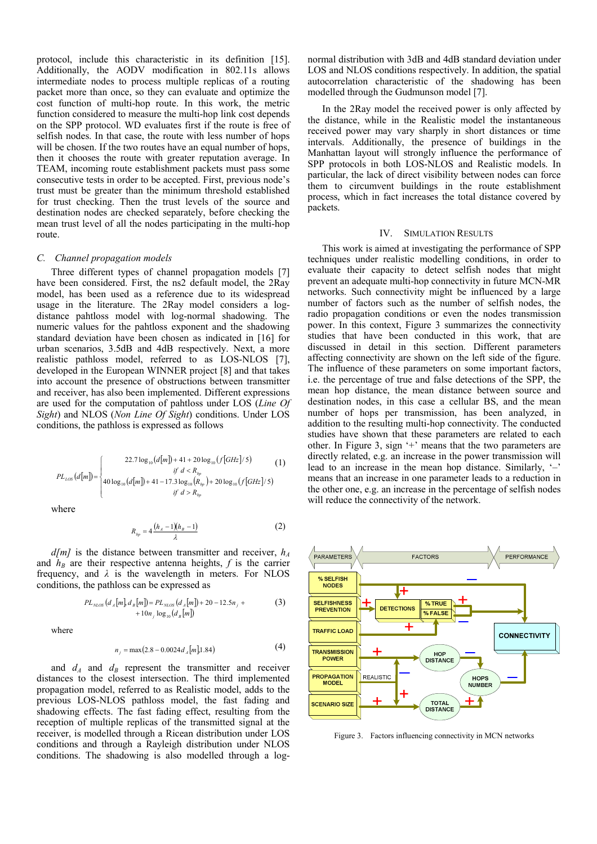protocol, include this characteristic in its definition [15]. Additionally, the AODV modification in 802.11s allows intermediate nodes to process multiple replicas of a routing packet more than once, so they can evaluate and optimize the cost function of multi-hop route. In this work, the metric function considered to measure the multi-hop link cost depends on the SPP protocol. WD evaluates first if the route is free of selfish nodes. In that case, the route with less number of hops will be chosen. If the two routes have an equal number of hops, then it chooses the route with greater reputation average. In TEAM, incoming route establishment packets must pass some consecutive tests in order to be accepted. First, previous node's trust must be greater than the minimum threshold established for trust checking. Then the trust levels of the source and destination nodes are checked separately, before checking the mean trust level of all the nodes participating in the multi-hop route.

## C. Channel propagation models

Three different types of channel propagation models [7] have been considered. First, the ns2 default model, the 2Ray model, has been used as a reference due to its widespread usage in the literature. The 2Ray model considers a logdistance pahtloss model with log-normal shadowing. The numeric values for the pahtloss exponent and the shadowing standard deviation have been chosen as indicated in [16] for urban scenarios, 3.5dB and 4dB respectively. Next, a more realistic pathloss model, referred to as LOS-NLOS [7], developed in the European WINNER project [8] and that takes into account the presence of obstructions between transmitter and receiver, has also been implemented. Different expressions are used for the computation of pahtloss under LOS (Line Of Sight) and NLOS (Non Line Of Sight) conditions. Under  $\overline{LOS}$ conditions, the pathloss is expressed as follows

$$
PL_{LOS}(d[m]) = \begin{cases} 22.7 \log_{10}(d[m]) + 41 + 20 \log_{10}(f[GHz]/5) & (1) \\ \text{if } d < R_{bp} \\ 40 \log_{10}(d[m]) + 41 - 17.3 \log_{10}(R_{bp}) + 20 \log_{10}(f[GHz]/5) & \text{if } d > R_{bp} \end{cases}
$$

where

$$
R_{bp} = 4 \frac{(h_A - 1)(h_B - 1)}{\lambda} \tag{2}
$$

 $d[m]$  is the distance between transmitter and receiver,  $h_A$ and  $h_B$  are their respective antenna heights,  $f$  is the carrier frequency, and  $\lambda$  is the wavelength in meters. For NLOS conditions, the pathloss can be expressed as

$$
PL_{NLOS}(d_A[m], d_B[m]) = PL_{NLOS}(d_A[m]) + 20 - 12.5n_j + (3) + 10n_j \log_{10}(d_B[m])
$$

where

$$
n_j = \max(2.8 - 0.0024d_A[m]1.84)
$$
 (4)

and  $d_A$  and  $d_B$  represent the transmitter and receiver distances to the closest intersection. The third implemented propagation model, referred to as Realistic model, adds to the previous LOS-NLOS pathloss model, the fast fading and shadowing effects. The fast fading effect, resulting from the reception of multiple replicas of the transmitted signal at the receiver, is modelled through a Ricean distribution under LOS conditions and through a Rayleigh distribution under NLOS conditions. The shadowing is also modelled through a lognormal distribution with 3dB and 4dB standard deviation under LOS and NLOS conditions respectively. In addition, the spatial autocorrelation characteristic of the shadowing has been modelled through the Gudmunson model [7].

In the 2Ray model the received power is only affected by the distance, while in the Realistic model the instantaneous received power may vary sharply in short distances or time intervals. Additionally, the presence of buildings in the Manhattan layout will strongly influence the performance of SPP protocols in both LOS-NLOS and Realistic models. In particular, the lack of direct visibility between nodes can force them to circumvent buildings in the route establishment process, which in fact increases the total distance covered by packets.

#### IV. SIMULATION RESULTS

This work is aimed at investigating the performance of SPP techniques under realistic modelling conditions, in order to evaluate their capacity to detect selfish nodes that might prevent an adequate multi-hop connectivity in future MCN-MR networks. Such connectivity might be influenced by a large number of factors such as the number of selfish nodes, the radio propagation conditions or even the nodes transmission power. In this context, Figure 3 summarizes the connectivity studies that have been conducted in this work, that are discussed in detail in this section. Different parameters affecting connectivity are shown on the left side of the figure. The influence of these parameters on some important factors. i.e. the percentage of true and false detections of the SPP, the mean hop distance, the mean distance between source and destination nodes, in this case a cellular BS, and the mean number of hops per transmission, has been analyzed, in addition to the resulting multi-hop connectivity. The conducted studies have shown that these parameters are related to each other. In Figure 3, sign '+' means that the two parameters are directly related, e.g. an increase in the power transmission will lead to an increase in the mean hop distance. Similarly, '–' means that an increase in one parameter leads to a reduction in the other one, e.g. an increase in the percentage of selfish nodes will reduce the connectivity of the network.



Figure 3. Factors influencing connectivity in MCN networks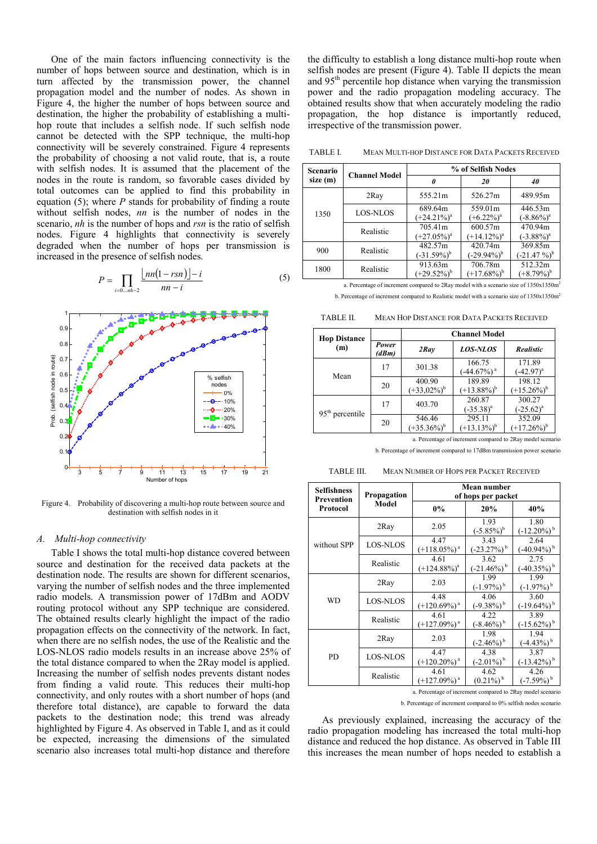One of the main factors influencing connectivity is the number of hops between source and destination, which is in turn affected by the transmission power, the channel propagation model and the number of nodes. As shown in Figure 4, the higher the number of hops between source and destination, the higher the probability of establishing a multihop route that includes a selfish node. If such selfish node cannot be detected with the SPP technique, the multi-hop connectivity will be severely constrained. Figure 4 represents the probability of choosing a not valid route, that is, a route with selfish nodes. It is assumed that the placement of the nodes in the route is random, so favorable cases divided by total outcomes can be applied to find this probability in equation (5); where  $P$  stands for probability of finding a route without selfish nodes, *nn* is the number of nodes in the scenario, *nh* is the number of hops and *rsn* is the ratio of selfish nodes. Figure 4 highlights that connectivity is severely degraded when the number of hops per transmission is increased in the presence of selfish nodes.

$$
P = \prod_{i=0...n} \frac{\lfloor nn(1-rsn)\rfloor - i}{nn-i}
$$
 (5)



Figure 4. Probability of discovering a multi-hop route between source and destination with selfish nodes in it

#### A. Multi-hop connectivity

Table I shows the total multi-hop distance covered between source and destination for the received data packets at the destination node. The results are shown for different scenarios, varying the number of selfish nodes and the three implemented radio models. A transmission power of 17dBm and AODV routing protocol without any SPP technique are considered. The obtained results clearly highlight the impact of the radio propagation effects on the connectivity of the network. In fact, when there are no selfish nodes, the use of the Realistic and the LOS-NLOS radio models results in an increase above 25% of the total distance compared to when the 2Ray model is applied. Increasing the number of selfish nodes prevents distant nodes from finding a valid route. This reduces their multi-hop connectivity, and only routes with a short number of hops (and therefore total distance), are capable to forward the data packets to the destination node; this trend was already highlighted by Figure 4. As observed in Table I, and as it could be expected, increasing the dimensions of the simulated scenario also increases total multi-hop distance and therefore

the difficulty to establish a long distance multi-hop route when selfish nodes are present (Figure 4). Table II depicts the mean and 95<sup>th</sup> percentile hop distance when varying the transmission power and the radio propagation modeling accuracy. The obtained results show that when accurately modeling the radio propagation, the hop distance is importantly reduced, irrespective of the transmission power.

TABLE I. MEAN MULTI-HOP DISTANCE FOR DATA PACKETS RECEIVED

| Scenario<br>size (m) | <b>Channel Model</b> | % of Selfish Nodes        |                           |                           |  |  |
|----------------------|----------------------|---------------------------|---------------------------|---------------------------|--|--|
|                      |                      | Л                         | 20                        | 40                        |  |  |
| 1350                 | 2Ray                 | 555.21m                   | 526.27m                   | 489.95m                   |  |  |
|                      | <b>LOS-NLOS</b>      | 689.64m<br>$(+24.21\%)^a$ | 559.01m<br>$(+6.22\%)^a$  | 446.53m<br>$(-8.86\%)^a$  |  |  |
|                      | Realistic            | 705.41m<br>$(+27.05\%)^a$ | 600.57m<br>$(+14.12\%)^a$ | 470.94m<br>$(-3.88\%)^a$  |  |  |
| 900                  | Realistic            | 482.57m<br>$(-31.59\%)^b$ | 420.74m<br>$(-29.94\%)^b$ | 369.85m<br>$(-21.47\%)^b$ |  |  |
| 1800                 | Realistic            | 913.63m<br>$(+29.52\%)^b$ | 706.78m<br>$(+17.68\%)^b$ | 512.32m<br>$(+8.79\%)^b$  |  |  |

a. Percentage of increment compared to 2Ray model with a scenario size of 1350x1350m<sup>2</sup> b. Percentage of increment compared to Realistic model with a scenario size of 1350x1350m<sup>2</sup>

TABLE II. MEAN HOP DISTANCE FOR DATA PACKETS RECEIVED

| <b>Hop Distance</b> |                | <b>Channel Model</b>     |                                     |                          |  |  |
|---------------------|----------------|--------------------------|-------------------------------------|--------------------------|--|--|
| (m)                 | Power<br>(dBm) | 2 Ray                    | LOS-NLOS                            | <b>Realistic</b>         |  |  |
| Mean                | 17             | 301.38                   | 166.75<br>$(-44.67\%)$ <sup>a</sup> | 171.89<br>$(-42.97)^{a}$ |  |  |
|                     | 20             | 400.90<br>$(+33.02\%)^b$ | 189.89<br>$(+13.88\%)^b$            | 198.12<br>$(+15.26\%)^b$ |  |  |
| $95th$ percentile   | 17             | 403.70                   | 260.87<br>$(-35.38)^{a}$            | 300.27<br>$(-25.62)^{a}$ |  |  |
|                     | 20             | 546.46<br>$(+35.36\%)^b$ | 295.11<br>$(+13.13\%)^b$            | 352.09<br>$(+17.26\%)^b$ |  |  |

a. Percentage of increment compared to 2Ray model scenario

b. Percentage of increment compared to 17dBm transmission power scenario

TABLE III. MEAN NUMBER OF HOPS PER PACKET RECEIVED

| <b>Selfishness</b>            | Propagation     | Mean number<br>of hops per packet                                      |                                   |                                   |  |
|-------------------------------|-----------------|------------------------------------------------------------------------|-----------------------------------|-----------------------------------|--|
| <b>Prevention</b><br>Protocol | Model           | $0\%$                                                                  | 20%                               | 40%                               |  |
|                               | 2Ray            | 2.05                                                                   | 1.93<br>$(-5.85\%)^b$             | 1.80<br>$(-12.20\%)$ <sup>b</sup> |  |
| without SPP                   | <b>LOS-NLOS</b> | 4.47<br>$(+118.05\%)$ <sup>a</sup>                                     | 3.43<br>$(-23.27\%)$ <sup>b</sup> | 2.64<br>$(-40.94\%)$ <sup>b</sup> |  |
|                               | Realistic       | 4.61<br>$(+124.88\%)$ <sup>a</sup>                                     | 3.62<br>$(-21.46\%)$ <sup>b</sup> | 2.75<br>$(-40.35\%)$ <sup>b</sup> |  |
| <b>WD</b>                     | 2Ray            | 2.03                                                                   | 1.99<br>$(-1.97\%)$ <sup>b</sup>  | 1.99<br>$(-1.97\%)$ <sup>b</sup>  |  |
|                               | <b>LOS-NLOS</b> | 4.48<br>$(+120.69\%)$ <sup>a</sup>                                     | 4.06<br>$(-9.38\%)$ <sup>b</sup>  | 3.60<br>$(-19.64\%)$ <sup>b</sup> |  |
|                               | Realistic       | 4.61<br>$(+127.09\%)$ <sup>a</sup>                                     | 4.22<br>$(-8.46\%)$ <sup>b</sup>  | 3.89<br>$(-15.62\%)$ <sup>b</sup> |  |
|                               | 2Ray            | 2.03                                                                   | 1.98<br>$(-2.46\%)$ <sup>b</sup>  | 1.94<br>$(-4.43\%)$ <sup>b</sup>  |  |
| PD.                           | <b>LOS-NLOS</b> | 4.47<br>4.38<br>$(-2.01\%)$ <sup>b</sup><br>$(+120.20\%)$ <sup>a</sup> |                                   | 3.87<br>$(-13.42\%)$ <sup>b</sup> |  |
|                               | Realistic       | 4.61<br>$(+127.09\%)$ <sup>a</sup>                                     | 4.62<br>$(0.21\%)$ <sup>b</sup>   | 4.26<br>$(-7.59\%)$ <sup>b</sup>  |  |

a. Percentage of increment compared to 2Ray model scenario

b. Percentage of increment compared to 0% selfish nodes scenario

As previously explained, increasing the accuracy of the radio propagation modeling has increased the total multi-hop distance and reduced the hop distance. As observed in Table III this increases the mean number of hops needed to establish a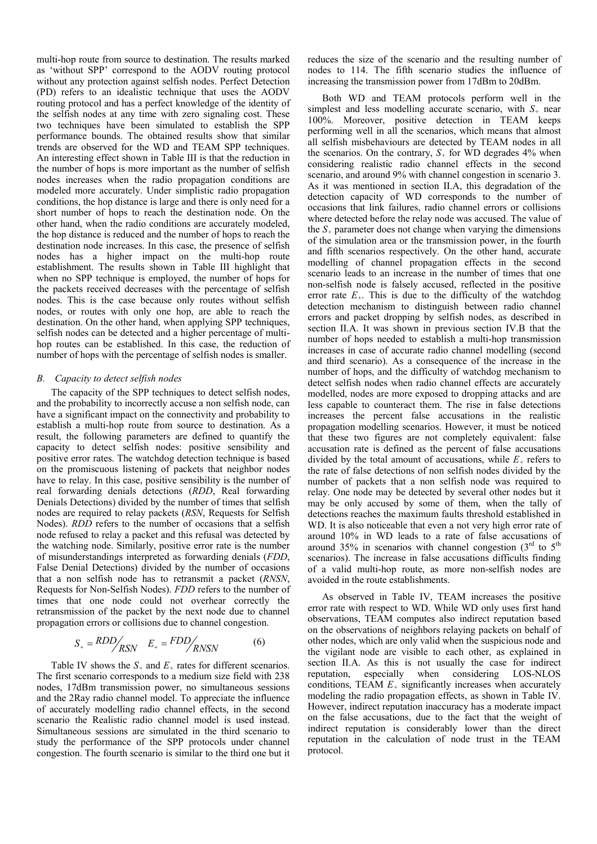multi-hop route from source to destination. The results marked as 'without SPP' correspond to the AODV routing protocol without any protection against selfish nodes. Perfect Detection (PD) refers to an idealistic technique that uses the AODV routing protocol and has a perfect knowledge of the identity of the selfish nodes at any time with zero signaling cost. These two techniques have been simulated to establish the SPP performance bounds. The obtained results show that similar trends are observed for the WD and TEAM SPP techniques. An interesting effect shown in Table III is that the reduction in the number of hops is more important as the number of selfish nodes increases when the radio propagation conditions are modeled more accurately. Under simplistic radio propagation conditions, the hop distance is large and there is only need for a short number of hops to reach the destination node. On the other hand, when the radio conditions are accurately modeled, the hop distance is reduced and the number of hops to reach the destination node increases. In this case, the presence of selfish nodes has a higher impact on the multi-hop route establishment. The results shown in Table III highlight that when no SPP technique is employed, the number of hops for the packets received decreases with the percentage of selfish nodes. This is the case because only routes without selfish nodes, or routes with only one hop, are able to reach the destination. On the other hand, when applying SPP techniques, selfish nodes can be detected and a higher percentage of multihop routes can be established. In this case, the reduction of number of hops with the percentage of selfish nodes is smaller.

# B. Capacity to detect selfish nodes

The capacity of the SPP techniques to detect selfish nodes, and the probability to incorrectly accuse a non selfish node, can have a significant impact on the connectivity and probability to establish a multi-hop route from source to destination. As a result, the following parameters are defined to quantify the capacity to detect selfish nodes: positive sensibility and positive error rates. The watchdog detection technique is based on the promiscuous listening of packets that neighbor nodes have to relay. In this case, positive sensibility is the number of real forwarding denials detections (RDD, Real forwarding Denials Detections) divided by the number of times that selfish nodes are required to relay packets (RSN, Requests for Selfish Nodes). RDD refers to the number of occasions that a selfish node refused to relay a packet and this refusal was detected by the watching node. Similarly, positive error rate is the number of misunderstandings interpreted as forwarding denials (FDD, False Denial Detections) divided by the number of occasions that a non selfish node has to retransmit a packet (RNSN, Requests for Non-Selfish Nodes). FDD refers to the number of times that one node could not overhear correctly the retransmission of the packet by the next node due to channel propagation errors or collisions due to channel congestion.

$$
S_{+} = RDD/_{RSN} \quad E_{+} = FDD/_{RNSN} \tag{6}
$$

Table IV shows the  $S_+$  and  $E_+$  rates for different scenarios. The first scenario corresponds to a medium size field with 238 nodes, 17dBm transmission power, no simultaneous sessions and the 2Ray radio channel model. To appreciate the influence of accurately modelling radio channel effects, in the second scenario the Realistic radio channel model is used instead. Simultaneous sessions are simulated in the third scenario to study the performance of the SPP protocols under channel congestion. The fourth scenario is similar to the third one but it reduces the size of the scenario and the resulting number of nodes to 114. The fifth scenario studies the influence of increasing the transmission power from 17dBm to 20dBm.

Both WD and TEAM protocols perform well in the simplest and less modelling accurate scenario, with  $S_{+}$  near 100%. Moreover, positive detection in TEAM keeps performing well in all the scenarios, which means that almost all selfish misbehaviours are detected by TEAM nodes in all the scenarios. On the contrary,  $S_{+}$  for WD degrades 4% when considering realistic radio channel effects in the second scenario, and around 9% with channel congestion in scenario 3. As it was mentioned in section II.A, this degradation of the detection capacity of WD corresponds to the number of occasions that link failures, radio channel errors or collisions where detected before the relay node was accused. The value of the  $S_{+}$  parameter does not change when varying the dimensions of the simulation area or the transmission power, in the fourth and fifth scenarios respectively. On the other hand, accurate modelling of channel propagation effects in the second scenario leads to an increase in the number of times that one non-selfish node is falsely accused, reflected in the positive error rate  $E_{+}$ . This is due to the difficulty of the watchdog detection mechanism to distinguish between radio channel errors and packet dropping by selfish nodes, as described in section II.A. It was shown in previous section IV.B that the number of hops needed to establish a multi-hop transmission increases in case of accurate radio channel modelling (second and third scenario). As a consequence of the increase in the number of hops, and the difficulty of watchdog mechanism to detect selfish nodes when radio channel effects are accurately modelled, nodes are more exposed to dropping attacks and are less capable to counteract them. The rise in false detections increases the percent false accusations in the realistic propagation modelling scenarios. However, it must be noticed that these two figures are not completely equivalent: false accusation rate is defined as the percent of false accusations divided by the total amount of accusations, while  $E_{+}$  refers to the rate of false detections of non selfish nodes divided by the number of packets that a non selfish node was required to relay. One node may be detected by several other nodes but it may be only accused by some of them, when the tally of detections reaches the maximum faults threshold established in WD. It is also noticeable that even a not very high error rate of around 10% in WD leads to a rate of false accusations of around 35% in scenarios with channel congestion  $(3<sup>rd</sup>$  to  $5<sup>th</sup>$ scenarios). The increase in false accusations difficults finding of a valid multi-hop route, as more non-selfish nodes are avoided in the route establishments.

As observed in Table IV, TEAM increases the positive error rate with respect to WD. While WD only uses first hand observations, TEAM computes also indirect reputation based on the observations of neighbors relaying packets on behalf of other nodes, which are only valid when the suspicious node and the vigilant node are visible to each other, as explained in section II.A. As this is not usually the case for indirect reputation, especially when considering LOS-NLOS conditions, TEAM  $E_{+}$  significantly increases when accurately modeling the radio propagation effects, as shown in Table IV. However, indirect reputation inaccuracy has a moderate impact on the false accusations, due to the fact that the weight of indirect reputation is considerably lower than the direct reputation in the calculation of node trust in the TEAM protocol.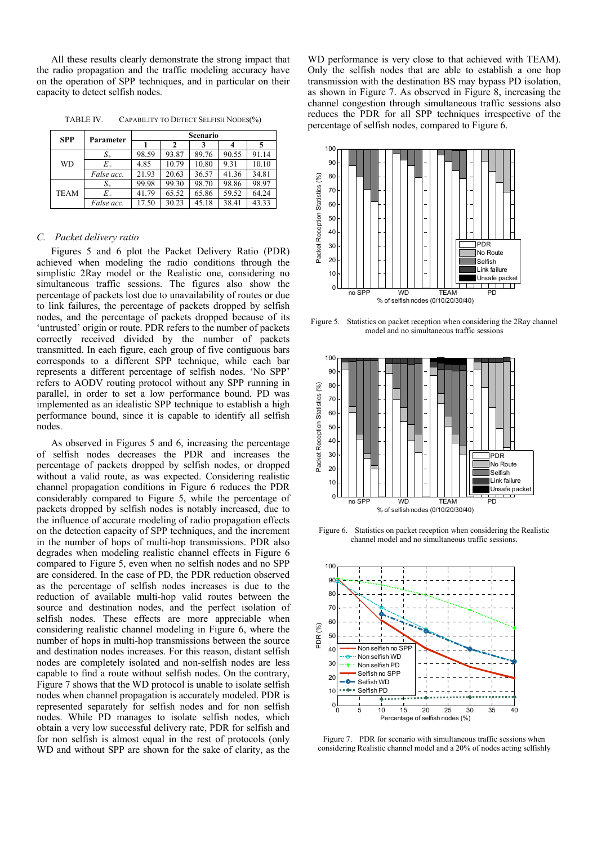All these results clearly demonstrate the strong impact that the radio propagation and the traffic modeling accuracy have on the operation of SPP techniques, and in particular on their capacity to detect selfish nodes.

TABLE IV. CAPABILITY TO DETECT SELFISH NODES(%)

| <b>SPP</b>  | Parameter  | Scenario |       |       |       |       |  |
|-------------|------------|----------|-------|-------|-------|-------|--|
|             |            |          |       |       |       |       |  |
| <b>WD</b>   | $S_{\pm}$  | 98.59    | 93.87 | 89.76 | 90.55 | 91.14 |  |
|             | E+         | 4.85     | 10.79 | 10.80 | 9.31  | 10.10 |  |
|             | False acc. | 21.93    | 20.63 | 36.57 | 41.36 | 34.81 |  |
| <b>TEAM</b> | $S_{+}$    | 99.98    | 99.30 | 98.70 | 98.86 | 98.97 |  |
|             | $E_{\pm}$  | 41.79    | 65.52 | 65.86 | 59.52 | 64.24 |  |
|             | False acc. | 17.50    | 30.23 | 45.18 | 38.41 | 43.33 |  |

#### C. Packet delivery ratio

Figures 5 and 6 plot the Packet Delivery Ratio (PDR) achieved when modeling the radio conditions through the simplistic 2Ray model or the Realistic one, considering no simultaneous traffic sessions. The figures also show the percentage of packets lost due to unavailability of routes or due to link failures, the percentage of packets dropped by selfish nodes, and the percentage of packets dropped because of its 'untrusted' origin or route. PDR refers to the number of packets correctly received divided by the number of packets transmitted. In each figure, each group of five contiguous bars corresponds to a different SPP technique, while each bar represents a different percentage of selfish nodes. 'No SPP' refers to AODV routing protocol without any SPP running in parallel, in order to set a low performance bound. PD was implemented as an idealistic SPP technique to establish a high performance bound, since it is capable to identify all selfish nodes.

As observed in Figures 5 and 6, increasing the percentage of selfish nodes decreases the PDR and increases the percentage of packets dropped by selfish nodes, or dropped without a valid route, as was expected. Considering realistic channel propagation conditions in Figure 6 reduces the PDR considerably compared to Figure 5, while the percentage of packets dropped by selfish nodes is notably increased, due to the influence of accurate modeling of radio propagation effects on the detection capacity of SPP techniques, and the increment in the number of hops of multi-hop transmissions. PDR also degrades when modeling realistic channel effects in Figure 6 compared to Figure 5, even when no selfish nodes and no SPP are considered. In the case of PD, the PDR reduction observed as the percentage of selfish nodes increases is due to the reduction of available multi-hop valid routes between the source and destination nodes, and the perfect isolation of selfish nodes. These effects are more appreciable when considering realistic channel modeling in Figure 6, where the number of hops in multi-hop transmissions between the source and destination nodes increases. For this reason, distant selfish nodes are completely isolated and non-selfish nodes are less capable to find a route without selfish nodes. On the contrary, Figure 7 shows that the WD protocol is unable to isolate selfish nodes when channel propagation is accurately modeled. PDR is represented separately for selfish nodes and for non selfish nodes. While PD manages to isolate selfish nodes, which obtain a very low successful delivery rate, PDR for selfish and for non selfish is almost equal in the rest of protocols (only WD and without SPP are shown for the sake of clarity, as the

WD performance is very close to that achieved with TEAM). Only the selfish nodes that are able to establish a one hop transmission with the destination BS may bypass PD isolation, as shown in Figure 7. As observed in Figure 8, increasing the channel congestion through simultaneous traffic sessions also reduces the PDR for all SPP techniques irrespective of the percentage of selfish nodes, compared to Figure 6.



Figure 5. Statistics on packet reception when considering the 2Ray channel model and no simultaneous traffic sessions



Figure 6. Statistics on packet reception when considering the Realistic channel model and no simultaneous traffic sessions.



Figure 7. PDR for scenario with simultaneous traffic sessions when considering Realistic channel model and a 20% of nodes acting selfishly